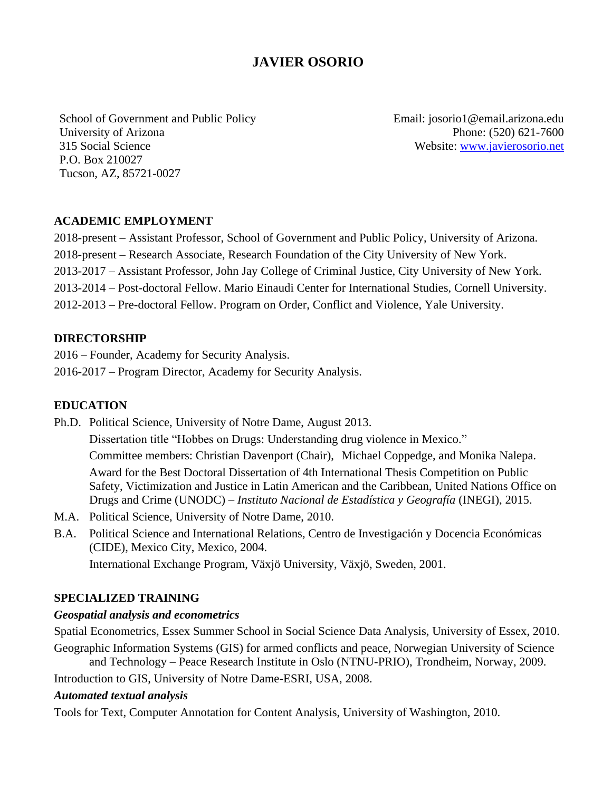# **JAVIER OSORIO**

School of Government and Public Policy University of Arizona 315 Social Science P.O. Box 210027 Tucson, AZ, 85721-0027

Email: josorio1@email.arizona.edu Phone: (520) 621-7600 Website: [www.javierosorio.net](http://www.javierosorio.net/)

#### **ACADEMIC EMPLOYMENT**

2018-present – Assistant Professor, School of Government and Public Policy, University of Arizona. 2018-present – Research Associate, Research Foundation of the City University of New York. 2013-2017 – Assistant Professor, John Jay College of Criminal Justice, City University of New York. 2013-2014 – Post-doctoral Fellow. Mario Einaudi Center for International Studies, Cornell University. 2012-2013 – Pre-doctoral Fellow. Program on Order, Conflict and Violence, Yale University.

#### **DIRECTORSHIP**

2016 – Founder, Academy for Security Analysis. 2016-2017 – Program Director, Academy for Security Analysis.

#### **EDUCATION**

Ph.D. Political Science, University of Notre Dame, August 2013. Dissertation title "Hobbes on Drugs: Understanding drug violence in Mexico." Committee members: Christian Davenport (Chair), Michael Coppedge, and Monika Nalepa. Award for the Best Doctoral Dissertation of 4th International Thesis Competition on Public Safety, Victimization and Justice in Latin American and the Caribbean, United Nations Office on Drugs and Crime (UNODC) – *Instituto Nacional de Estadística y Geografía* (INEGI), 2015.

- M.A. Political Science, University of Notre Dame, 2010.
- B.A. Political Science and International Relations*,* Centro de Investigación y Docencia Económicas (CIDE), Mexico City, Mexico, 2004. International Exchange Program, Växjö University, Växjö, Sweden, 2001.

#### **SPECIALIZED TRAINING**

#### *Geospatial analysis and econometrics*

Spatial Econometrics, Essex Summer School in Social Science Data Analysis, University of Essex, 2010. Geographic Information Systems (GIS) for armed conflicts and peace, Norwegian University of Science and Technology – Peace Research Institute in Oslo (NTNU-PRIO), Trondheim, Norway, 2009.

Introduction to GIS, University of Notre Dame-ESRI, USA, 2008.

#### *Automated textual analysis*

Tools for Text, Computer Annotation for Content Analysis, University of Washington, 2010.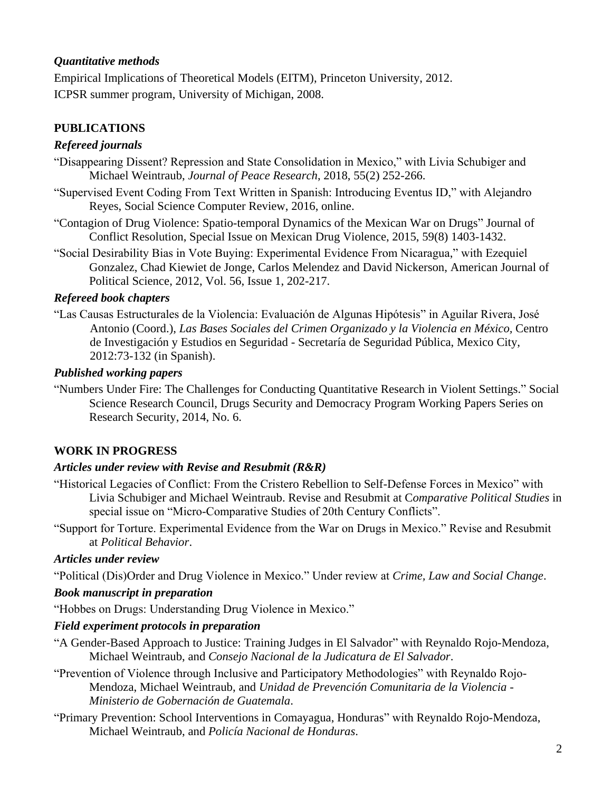## *Quantitative methods*

Empirical Implications of Theoretical Models (EITM), Princeton University, 2012. ICPSR summer program, University of Michigan, 2008.

## **PUBLICATIONS**

## *Refereed journals*

- "Disappearing Dissent? Repression and State Consolidation in Mexico," with Livia Schubiger and Michael Weintraub, *Journal of Peace Research*, 2018, 55(2) 252-266.
- "Supervised Event Coding From Text Written in Spanish: Introducing Eventus ID," with Alejandro Reyes, Social Science Computer Review, 2016, online.
- "Contagion of Drug Violence: Spatio-temporal Dynamics of the Mexican War on Drugs" Journal of Conflict Resolution, Special Issue on Mexican Drug Violence, 2015, 59(8) 1403-1432.
- "Social Desirability Bias in Vote Buying: Experimental Evidence From Nicaragua," with Ezequiel Gonzalez, Chad Kiewiet de Jonge, Carlos Melendez and David Nickerson, American Journal of Political Science, 2012, Vol. 56, Issue 1, 202-217.

## *Refereed book chapters*

"Las Causas Estructurales de la Violencia: Evaluación de Algunas Hipótesis" in Aguilar Rivera, José Antonio (Coord.), *Las Bases Sociales del Crimen Organizado y la Violencia en México,* Centro de Investigación y Estudios en Seguridad - Secretaría de Seguridad Pública, Mexico City, 2012:73-132 (in Spanish).

#### *Published working papers*

"Numbers Under Fire: The Challenges for Conducting Quantitative Research in Violent Settings." Social Science Research Council, Drugs Security and Democracy Program Working Papers Series on Research Security, 2014, No. 6.

## **WORK IN PROGRESS**

## *Articles under review with Revise and Resubmit (R&R)*

- "Historical Legacies of Conflict: From the Cristero Rebellion to Self-Defense Forces in Mexico" with Livia Schubiger and Michael Weintraub. Revise and Resubmit at C*omparative Political Studies* in special issue on "Micro-Comparative Studies of 20th Century Conflicts".
- "Support for Torture. Experimental Evidence from the War on Drugs in Mexico." Revise and Resubmit at *Political Behavior*.

#### *Articles under review*

"Political (Dis)Order and Drug Violence in Mexico." Under review at *Crime, Law and Social Change*.

## *Book manuscript in preparation*

"Hobbes on Drugs: Understanding Drug Violence in Mexico."

## *Field experiment protocols in preparation*

- "A Gender-Based Approach to Justice: Training Judges in El Salvador" with Reynaldo Rojo-Mendoza, Michael Weintraub, and *Consejo Nacional de la Judicatura de El Salvador*.
- "Prevention of Violence through Inclusive and Participatory Methodologies" with Reynaldo Rojo-Mendoza, Michael Weintraub, and *Unidad de Prevención Comunitaria de la Violencia - Ministerio de Gobernación de Guatemala*.
- "Primary Prevention: School Interventions in Comayagua, Honduras" with Reynaldo Rojo-Mendoza, Michael Weintraub, and *Policía Nacional de Honduras*.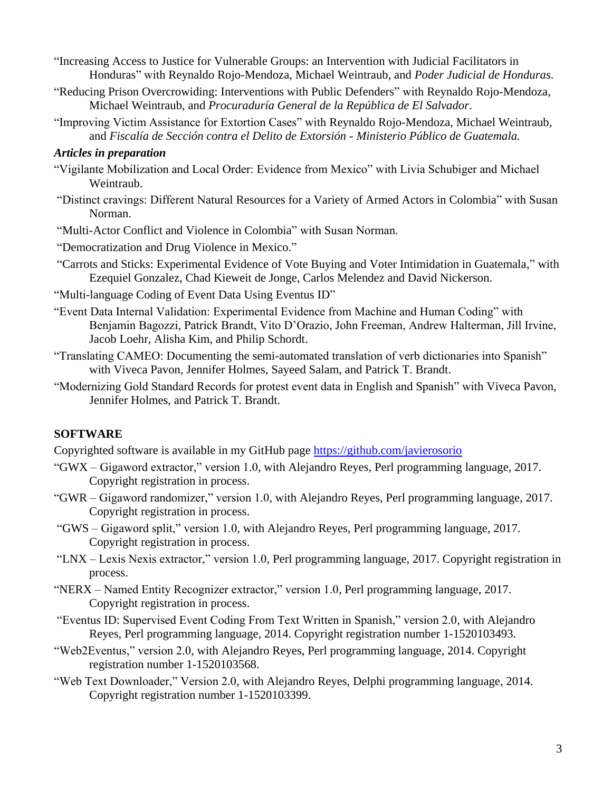- "Increasing Access to Justice for Vulnerable Groups: an Intervention with Judicial Facilitators in Honduras" with Reynaldo Rojo-Mendoza, Michael Weintraub, and *Poder Judicial de Honduras*.
- "Reducing Prison Overcrowiding: Interventions with Public Defenders" with Reynaldo Rojo-Mendoza, Michael Weintraub, and *Procuraduría General de la República de El Salvador*.
- "Improving Victim Assistance for Extortion Cases" with Reynaldo Rojo-Mendoza, Michael Weintraub, and *Fiscalía de Sección contra el Delito de Extorsión - Ministerio Público de Guatemala.*

#### *Articles in preparation*

- "Vigilante Mobilization and Local Order: Evidence from Mexico" with Livia Schubiger and Michael Weintraub.
- "Distinct cravings: Different Natural Resources for a Variety of Armed Actors in Colombia" with Susan Norman.
- "Multi-Actor Conflict and Violence in Colombia" with Susan Norman.
- "Democratization and Drug Violence in Mexico."
- "Carrots and Sticks: Experimental Evidence of Vote Buying and Voter Intimidation in Guatemala," with Ezequiel Gonzalez, Chad Kieweit de Jonge, Carlos Melendez and David Nickerson.
- "Multi-language Coding of Event Data Using Eventus ID"
- "Event Data Internal Validation: Experimental Evidence from Machine and Human Coding" with Benjamin Bagozzi, Patrick Brandt, Vito D'Orazio, John Freeman, Andrew Halterman, Jill Irvine, Jacob Loehr, Alisha Kim, and Philip Schordt.
- "Translating CAMEO: Documenting the semi-automated translation of verb dictionaries into Spanish" with Viveca Pavon, Jennifer Holmes, Sayeed Salam, and Patrick T. Brandt.
- "Modernizing Gold Standard Records for protest event data in English and Spanish" with Viveca Pavon, Jennifer Holmes, and Patrick T. Brandt.

#### **SOFTWARE**

Copyrighted software is available in my GitHub page<https://github.com/javierosorio>

- "GWX Gigaword extractor," version 1.0, with Alejandro Reyes, Perl programming language, 2017. Copyright registration in process.
- "GWR Gigaword randomizer," version 1.0, with Alejandro Reyes, Perl programming language, 2017. Copyright registration in process.
- "GWS Gigaword split," version 1.0, with Alejandro Reyes, Perl programming language, 2017. Copyright registration in process.
- "LNX Lexis Nexis extractor," version 1.0, Perl programming language, 2017. Copyright registration in process.
- "NERX Named Entity Recognizer extractor," version 1.0, Perl programming language, 2017. Copyright registration in process.
- "Eventus ID: Supervised Event Coding From Text Written in Spanish," version 2.0, with Alejandro Reyes, Perl programming language, 2014. Copyright registration number 1-1520103493.
- "Web2Eventus," version 2.0, with Alejandro Reyes, Perl programming language, 2014. Copyright registration number 1-1520103568.
- "Web Text Downloader," Version 2.0, with Alejandro Reyes, Delphi programming language, 2014. Copyright registration number 1-1520103399.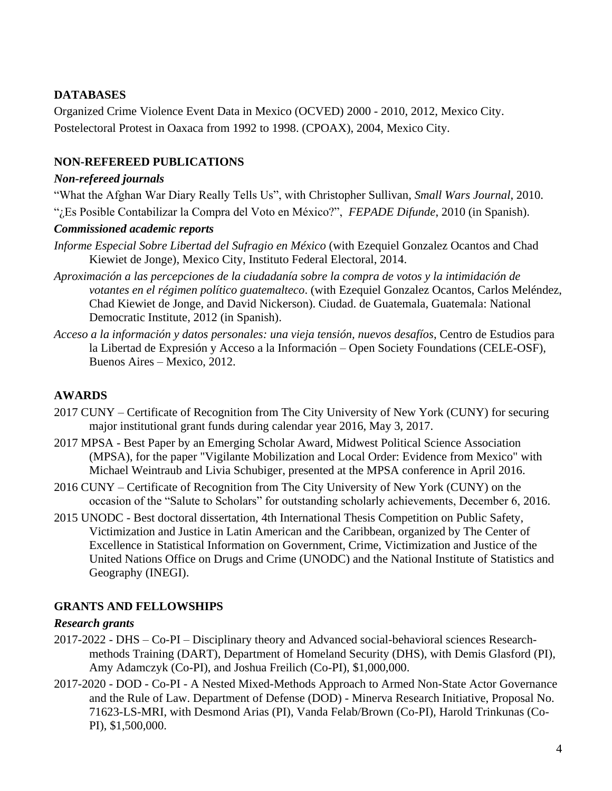## **DATABASES**

Organized Crime Violence Event Data in Mexico (OCVED) 2000 - 2010, 2012, Mexico City. Postelectoral Protest in Oaxaca from 1992 to 1998. (CPOAX), 2004, Mexico City.

## **NON-REFEREED PUBLICATIONS**

#### *Non-refereed journals*

"What the Afghan War Diary Really Tells Us", with Christopher Sullivan, *Small Wars Journal*, 2010. "¿Es Posible Contabilizar la Compra del Voto en México?", *FEPADE Difunde*, 2010 (in Spanish).

#### *Commissioned academic reports*

- *Informe Especial Sobre Libertad del Sufragio en México* (with Ezequiel Gonzalez Ocantos and Chad Kiewiet de Jonge), Mexico City, Instituto Federal Electoral, 2014.
- *Aproximación a las percepciones de la ciudadanía sobre la compra de votos y la intimidación de votantes en el régimen político guatemalteco*. (with Ezequiel Gonzalez Ocantos, Carlos Meléndez, Chad Kiewiet de Jonge, and David Nickerson). Ciudad. de Guatemala, Guatemala: National Democratic Institute, 2012 (in Spanish).
- *Acceso a la información y datos personales: una vieja tensión, nuevos desafíos*, Centro de Estudios para la Libertad de Expresión y Acceso a la Información – Open Society Foundations (CELE-OSF), Buenos Aires – Mexico, 2012.

## **AWARDS**

- 2017 CUNY Certificate of Recognition from The City University of New York (CUNY) for securing major institutional grant funds during calendar year 2016, May 3, 2017.
- 2017 MPSA Best Paper by an Emerging Scholar Award, Midwest Political Science Association (MPSA), for the paper "Vigilante Mobilization and Local Order: Evidence from Mexico" with Michael Weintraub and Livia Schubiger, presented at the MPSA conference in April 2016.
- 2016 CUNY Certificate of Recognition from The City University of New York (CUNY) on the occasion of the "Salute to Scholars" for outstanding scholarly achievements, December 6, 2016.
- 2015 UNODC Best doctoral dissertation, 4th International Thesis Competition on Public Safety, Victimization and Justice in Latin American and the Caribbean, organized by The Center of Excellence in Statistical Information on Government, Crime, Victimization and Justice of the United Nations Office on Drugs and Crime (UNODC) and the National Institute of Statistics and Geography (INEGI).

## **GRANTS AND FELLOWSHIPS**

## *Research grants*

- 2017-2022 DHS Co-PI Disciplinary theory and Advanced social-behavioral sciences Researchmethods Training (DART), Department of Homeland Security (DHS), with Demis Glasford (PI), Amy Adamczyk (Co-PI), and Joshua Freilich (Co-PI), \$1,000,000.
- 2017-2020 DOD Co-PI A Nested Mixed-Methods Approach to Armed Non-State Actor Governance and the Rule of Law. Department of Defense (DOD) - Minerva Research Initiative, Proposal No. 71623-LS-MRI, with Desmond Arias (PI), Vanda Felab/Brown (Co-PI), Harold Trinkunas (Co-PI), \$1,500,000.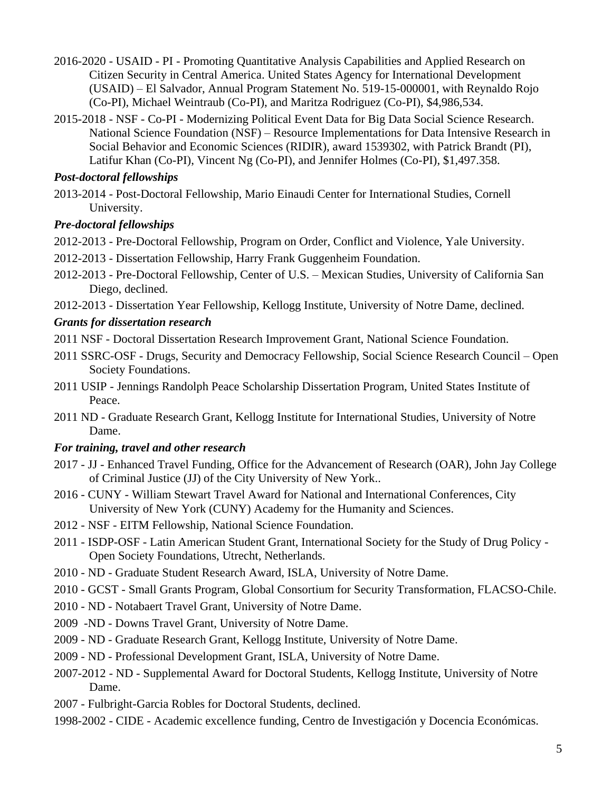- 2016-2020 USAID PI Promoting Quantitative Analysis Capabilities and Applied Research on Citizen Security in Central America. United States Agency for International Development (USAID) – El Salvador, Annual Program Statement No. 519-15-000001, with Reynaldo Rojo (Co-PI), Michael Weintraub (Co-PI), and Maritza Rodriguez (Co-PI), \$4,986,534.
- 2015-2018 NSF Co-PI Modernizing Political Event Data for Big Data Social Science Research. National Science Foundation (NSF) – Resource Implementations for Data Intensive Research in Social Behavior and Economic Sciences (RIDIR), award 1539302, with Patrick Brandt (PI), Latifur Khan (Co-PI), Vincent Ng (Co-PI), and Jennifer Holmes (Co-PI), \$1,497.358.

#### *Post-doctoral fellowships*

2013-2014 - Post-Doctoral Fellowship, Mario Einaudi Center for International Studies, Cornell University.

## *Pre-doctoral fellowships*

2012-2013 - Pre-Doctoral Fellowship, Program on Order, Conflict and Violence, Yale University.

- 2012-2013 Dissertation Fellowship, Harry Frank Guggenheim Foundation.
- 2012-2013 Pre-Doctoral Fellowship, Center of U.S. Mexican Studies, University of California San Diego, declined.

2012-2013 - Dissertation Year Fellowship, Kellogg Institute, University of Notre Dame, declined.

## *Grants for dissertation research*

- 2011 NSF Doctoral Dissertation Research Improvement Grant, National Science Foundation.
- 2011 SSRC-OSF Drugs, Security and Democracy Fellowship, Social Science Research Council Open Society Foundations.
- 2011 USIP Jennings Randolph Peace Scholarship Dissertation Program, United States Institute of Peace.
- 2011 ND Graduate Research Grant, Kellogg Institute for International Studies, University of Notre Dame.

## *For training, travel and other research*

- 2017 JJ Enhanced Travel Funding, Office for the Advancement of Research (OAR), John Jay College of Criminal Justice (JJ) of the City University of New York..
- 2016 CUNY William Stewart Travel Award for National and International Conferences, City University of New York (CUNY) Academy for the Humanity and Sciences.
- 2012 NSF EITM Fellowship, National Science Foundation.
- 2011 ISDP-OSF Latin American Student Grant, International Society for the Study of Drug Policy Open Society Foundations, Utrecht, Netherlands.
- 2010 ND Graduate Student Research Award, ISLA, University of Notre Dame.
- 2010 GCST Small Grants Program, Global Consortium for Security Transformation, FLACSO-Chile.
- 2010 ND Notabaert Travel Grant, University of Notre Dame.
- 2009 -ND Downs Travel Grant, University of Notre Dame.
- 2009 ND Graduate Research Grant, Kellogg Institute, University of Notre Dame.
- 2009 ND Professional Development Grant, ISLA, University of Notre Dame.
- 2007-2012 ND Supplemental Award for Doctoral Students, Kellogg Institute, University of Notre Dame.
- 2007 Fulbright-Garcia Robles for Doctoral Students, declined.
- 1998-2002 CIDE Academic excellence funding, Centro de Investigación y Docencia Económicas.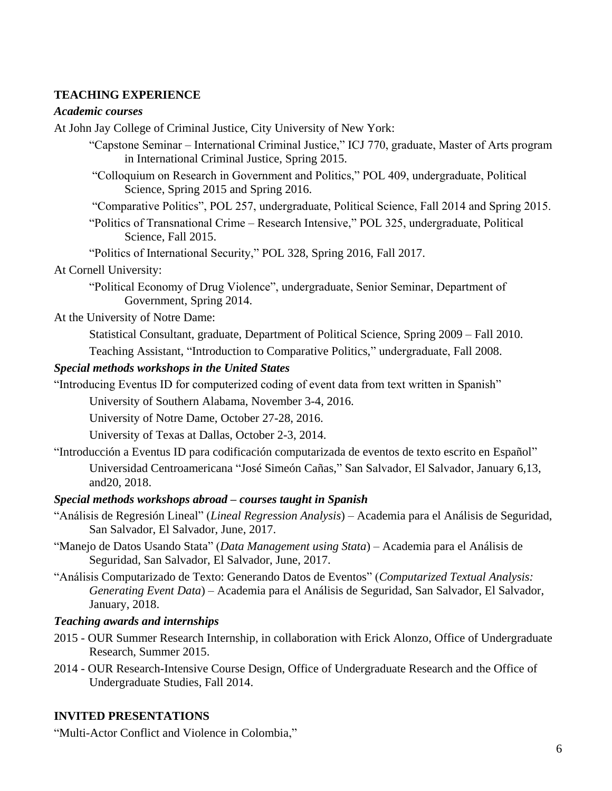## **TEACHING EXPERIENCE**

#### *Academic courses*

At John Jay College of Criminal Justice, City University of New York:

"Capstone Seminar – International Criminal Justice," ICJ 770, graduate, Master of Arts program in International Criminal Justice, Spring 2015.

"Colloquium on Research in Government and Politics," POL 409, undergraduate, Political Science, Spring 2015 and Spring 2016.

"Comparative Politics", POL 257, undergraduate, Political Science, Fall 2014 and Spring 2015.

"Politics of Transnational Crime – Research Intensive," POL 325, undergraduate, Political Science, Fall 2015.

"Politics of International Security," POL 328, Spring 2016, Fall 2017.

#### At Cornell University:

"Political Economy of Drug Violence", undergraduate, Senior Seminar, Department of Government, Spring 2014.

At the University of Notre Dame:

Statistical Consultant, graduate, Department of Political Science, Spring 2009 – Fall 2010. Teaching Assistant, "Introduction to Comparative Politics," undergraduate, Fall 2008.

#### *Special methods workshops in the United States*

"Introducing Eventus ID for computerized coding of event data from text written in Spanish"

University of Southern Alabama, November 3-4, 2016.

University of Notre Dame, October 27-28, 2016.

University of Texas at Dallas, October 2-3, 2014.

"Introducción a Eventus ID para codificación computarizada de eventos de texto escrito en Español" Universidad Centroamericana "José Simeón Cañas," San Salvador, El Salvador, January 6,13, and20, 2018.

#### *Special methods workshops abroad – courses taught in Spanish*

- "Análisis de Regresión Lineal" (*Lineal Regression Analysis*) Academia para el Análisis de Seguridad, San Salvador, El Salvador, June, 2017.
- "Manejo de Datos Usando Stata" (*Data Management using Stata*) Academia para el Análisis de Seguridad, San Salvador, El Salvador, June, 2017.
- "Análisis Computarizado de Texto: Generando Datos de Eventos" (*Computarized Textual Analysis: Generating Event Data*) – Academia para el Análisis de Seguridad, San Salvador, El Salvador, January, 2018.

#### *Teaching awards and internships*

- 2015 OUR Summer Research Internship, in collaboration with Erick Alonzo, Office of Undergraduate Research, Summer 2015.
- 2014 OUR Research-Intensive Course Design, Office of Undergraduate Research and the Office of Undergraduate Studies, Fall 2014.

## **INVITED PRESENTATIONS**

"Multi-Actor Conflict and Violence in Colombia,"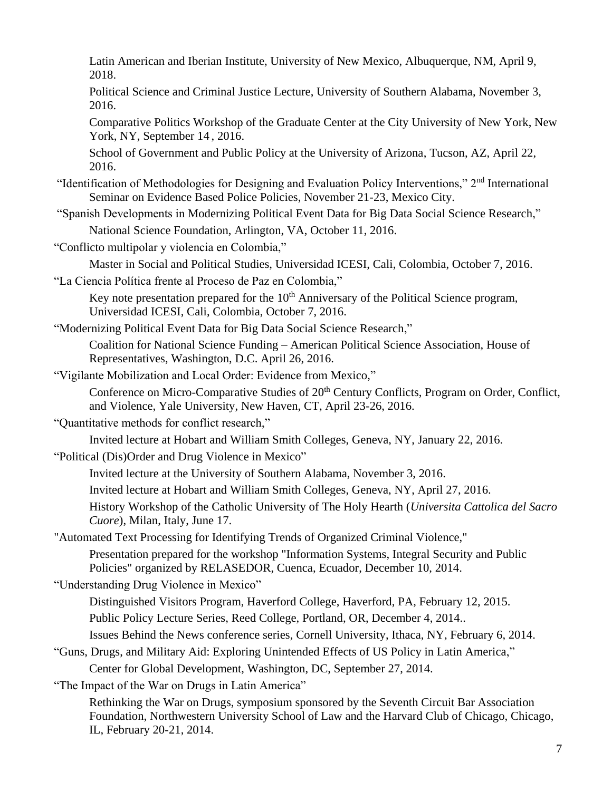Latin American and Iberian Institute, University of New Mexico, Albuquerque, NM, April 9, 2018.

Political Science and Criminal Justice Lecture, University of Southern Alabama, November 3, 2016.

Comparative Politics Workshop of the Graduate Center at the City University of New York, New York, NY, September 14 , 2016.

School of Government and Public Policy at the University of Arizona, Tucson, AZ, April 22, 2016.

- "Identification of Methodologies for Designing and Evaluation Policy Interventions," 2nd International Seminar on Evidence Based Police Policies, November 21-23, Mexico City.
- "Spanish Developments in Modernizing Political Event Data for Big Data Social Science Research," National Science Foundation, Arlington, VA, October 11, 2016.
- "Conflicto multipolar y violencia en Colombia,"

Master in Social and Political Studies, Universidad ICESI, Cali, Colombia, October 7, 2016.

"La Ciencia Política frente al Proceso de Paz en Colombia,"

Key note presentation prepared for the 10<sup>th</sup> Anniversary of the Political Science program, Universidad ICESI, Cali, Colombia, October 7, 2016.

"Modernizing Political Event Data for Big Data Social Science Research,"

Coalition for National Science Funding – American Political Science Association, House of Representatives, Washington, D.C. April 26, 2016.

"Vigilante Mobilization and Local Order: Evidence from Mexico,"

Conference on Micro-Comparative Studies of 20<sup>th</sup> Century Conflicts, Program on Order, Conflict, and Violence, Yale University, New Haven, CT, April 23-26, 2016.

"Quantitative methods for conflict research,"

Invited lecture at Hobart and William Smith Colleges, Geneva, NY, January 22, 2016.

"Political (Dis)Order and Drug Violence in Mexico"

Invited lecture at the University of Southern Alabama, November 3, 2016.

Invited lecture at Hobart and William Smith Colleges, Geneva, NY, April 27, 2016.

History Workshop of the Catholic University of The Holy Hearth (*Universita Cattolica del Sacro Cuore*), Milan, Italy, June 17.

"Automated Text Processing for Identifying Trends of Organized Criminal Violence,"

Presentation prepared for the workshop "Information Systems, Integral Security and Public Policies" organized by RELASEDOR, Cuenca, Ecuador, December 10, 2014.

"Understanding Drug Violence in Mexico"

Distinguished Visitors Program, Haverford College, Haverford, PA, February 12, 2015.

Public Policy Lecture Series, Reed College, Portland, OR, December 4, 2014..

Issues Behind the News conference series, Cornell University, Ithaca, NY, February 6, 2014.

"Guns, Drugs, and Military Aid: Exploring Unintended Effects of US Policy in Latin America,"

Center for Global Development, Washington, DC, September 27, 2014.

"The Impact of the War on Drugs in Latin America"

Rethinking the War on Drugs, symposium sponsored by the Seventh Circuit Bar Association Foundation, Northwestern University School of Law and the Harvard Club of Chicago, Chicago, IL, February 20-21, 2014.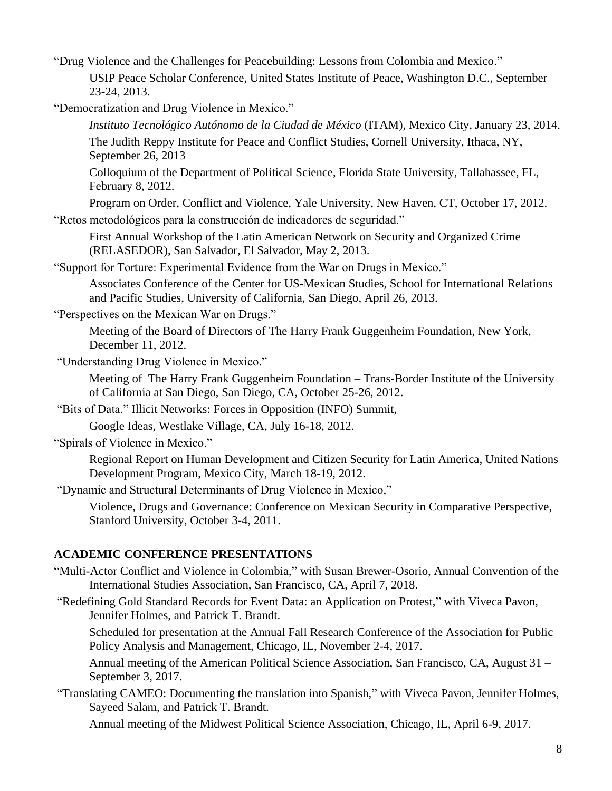"Drug Violence and the Challenges for Peacebuilding: Lessons from Colombia and Mexico." USIP Peace Scholar Conference, United States Institute of Peace, Washington D.C., September 23-24, 2013.

"Democratization and Drug Violence in Mexico."

*Instituto Tecnológico Autónomo de la Ciudad de México* (ITAM), Mexico City, January 23, 2014.

The Judith Reppy Institute for Peace and Conflict Studies, Cornell University, Ithaca, NY, September 26, 2013

Colloquium of the Department of Political Science, Florida State University, Tallahassee, FL, February 8, 2012.

Program on Order, Conflict and Violence, Yale University, New Haven, CT, October 17, 2012.

"Retos metodológicos para la construcción de indicadores de seguridad."

First Annual Workshop of the Latin American Network on Security and Organized Crime (RELASEDOR), San Salvador, El Salvador, May 2, 2013.

"Support for Torture: Experimental Evidence from the War on Drugs in Mexico."

Associates Conference of the Center for US-Mexican Studies, School for International Relations and Pacific Studies, University of California, San Diego, April 26, 2013.

"Perspectives on the Mexican War on Drugs."

Meeting of the Board of Directors of The Harry Frank Guggenheim Foundation, New York, December 11, 2012.

"Understanding Drug Violence in Mexico."

Meeting of The Harry Frank Guggenheim Foundation – Trans-Border Institute of the University of California at San Diego, San Diego, CA, October 25-26, 2012.

"Bits of Data." Illicit Networks: Forces in Opposition (INFO) Summit,

Google Ideas, Westlake Village, CA, July 16-18, 2012.

"Spirals of Violence in Mexico."

Regional Report on Human Development and Citizen Security for Latin America, United Nations Development Program, Mexico City, March 18-19, 2012.

"Dynamic and Structural Determinants of Drug Violence in Mexico,"

Violence, Drugs and Governance: Conference on Mexican Security in Comparative Perspective, Stanford University, October 3-4, 2011.

#### **ACADEMIC CONFERENCE PRESENTATIONS**

- "Multi-Actor Conflict and Violence in Colombia," with Susan Brewer-Osorio, Annual Convention of the International Studies Association, San Francisco, CA, April 7, 2018.
- "Redefining Gold Standard Records for Event Data: an Application on Protest," with Viveca Pavon, Jennifer Holmes, and Patrick T. Brandt.

Scheduled for presentation at the Annual Fall Research Conference of the Association for Public Policy Analysis and Management, Chicago, IL, November 2-4, 2017.

Annual meeting of the American Political Science Association, San Francisco, CA, August 31 – September 3, 2017.

"Translating CAMEO: Documenting the translation into Spanish," with Viveca Pavon, Jennifer Holmes, Sayeed Salam, and Patrick T. Brandt.

Annual meeting of the Midwest Political Science Association, Chicago, IL, April 6-9, 2017.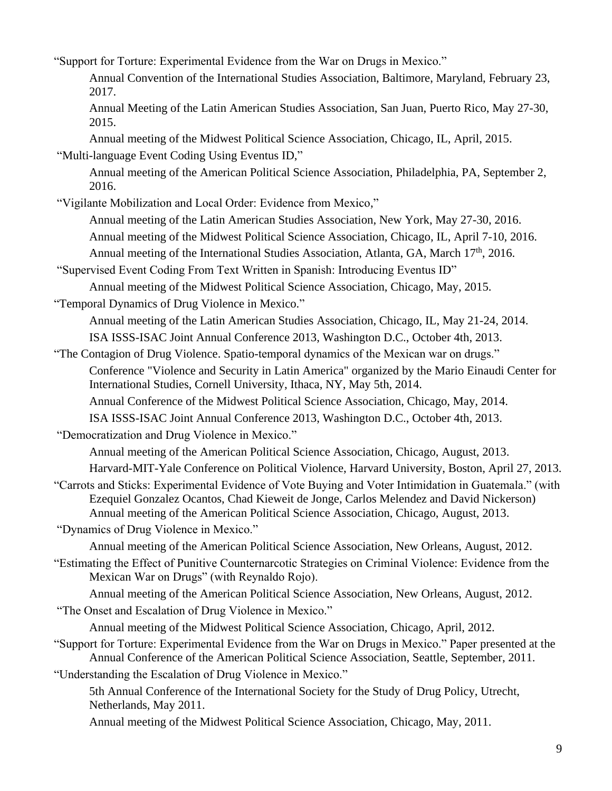"Support for Torture: Experimental Evidence from the War on Drugs in Mexico."

Annual Convention of the International Studies Association, Baltimore, Maryland, February 23, 2017.

Annual Meeting of the Latin American Studies Association, San Juan, Puerto Rico, May 27-30, 2015.

Annual meeting of the Midwest Political Science Association, Chicago, IL, April, 2015. "Multi-language Event Coding Using Eventus ID,"

Annual meeting of the American Political Science Association, Philadelphia, PA, September 2, 2016.

"Vigilante Mobilization and Local Order: Evidence from Mexico,"

Annual meeting of the Latin American Studies Association, New York, May 27-30, 2016.

Annual meeting of the Midwest Political Science Association, Chicago, IL, April 7-10, 2016.

Annual meeting of the International Studies Association, Atlanta, GA, March 17<sup>th</sup>, 2016.

"Supervised Event Coding From Text Written in Spanish: Introducing Eventus ID"

Annual meeting of the Midwest Political Science Association, Chicago, May, 2015.

"Temporal Dynamics of Drug Violence in Mexico."

Annual meeting of the Latin American Studies Association, Chicago, IL, May 21-24, 2014. ISA ISSS-ISAC Joint Annual Conference 2013, Washington D.C., October 4th, 2013.

"The Contagion of Drug Violence. Spatio-temporal dynamics of the Mexican war on drugs." Conference "Violence and Security in Latin America" organized by the Mario Einaudi Center for International Studies, Cornell University, Ithaca, NY, May 5th, 2014. Annual Conference of the Midwest Political Science Association, Chicago, May, 2014.

ISA ISSS-ISAC Joint Annual Conference 2013, Washington D.C., October 4th, 2013.

"Democratization and Drug Violence in Mexico."

Annual meeting of the American Political Science Association, Chicago, August, 2013.

Harvard-MIT-Yale Conference on Political Violence, Harvard University, Boston, April 27, 2013.

"Carrots and Sticks: Experimental Evidence of Vote Buying and Voter Intimidation in Guatemala." (with Ezequiel Gonzalez Ocantos, Chad Kieweit de Jonge, Carlos Melendez and David Nickerson) Annual meeting of the American Political Science Association, Chicago, August, 2013.

"Dynamics of Drug Violence in Mexico."

Annual meeting of the American Political Science Association, New Orleans, August, 2012.

"Estimating the Effect of Punitive Counternarcotic Strategies on Criminal Violence: Evidence from the Mexican War on Drugs" (with Reynaldo Rojo).

Annual meeting of the American Political Science Association, New Orleans, August, 2012.

"The Onset and Escalation of Drug Violence in Mexico."

Annual meeting of the Midwest Political Science Association, Chicago, April, 2012.

"Support for Torture: Experimental Evidence from the War on Drugs in Mexico." Paper presented at the Annual Conference of the American Political Science Association, Seattle, September, 2011.

"Understanding the Escalation of Drug Violence in Mexico."

5th Annual Conference of the International Society for the Study of Drug Policy, Utrecht, Netherlands, May 2011.

Annual meeting of the Midwest Political Science Association, Chicago, May, 2011.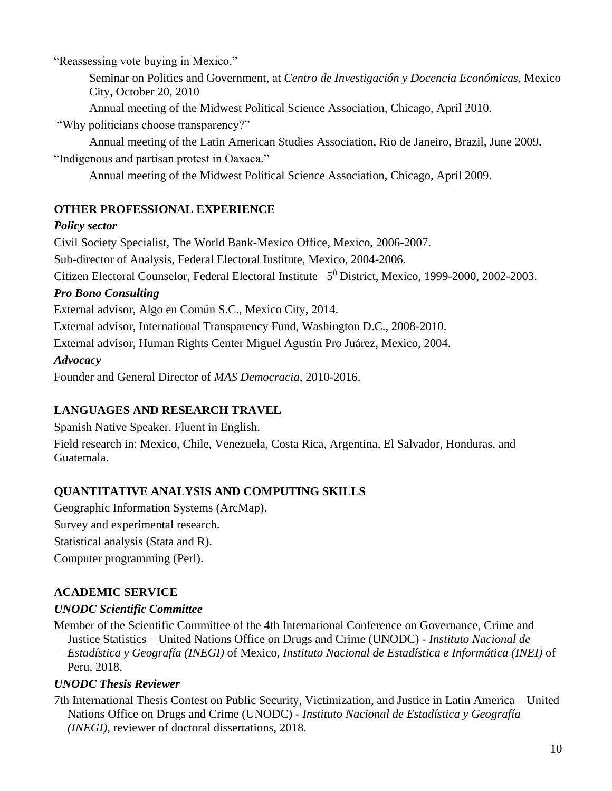"Reassessing vote buying in Mexico."

Seminar on Politics and Government, at *Centro de Investigación y Docencia Económicas*, Mexico City, October 20, 2010

Annual meeting of the Midwest Political Science Association, Chicago, April 2010.

"Why politicians choose transparency?"

Annual meeting of the Latin American Studies Association, Rio de Janeiro, Brazil, June 2009. "Indigenous and partisan protest in Oaxaca."

Annual meeting of the Midwest Political Science Association, Chicago, April 2009.

## **OTHER PROFESSIONAL EXPERIENCE**

## *Policy sector*

Civil Society Specialist, The World Bank-Mexico Office, Mexico, 2006-2007. Sub-director of Analysis, Federal Electoral Institute, Mexico, 2004-2006. Citizen Electoral Counselor, Federal Electoral Institute –5 ft District, Mexico, 1999-2000, 2002-2003.

## *Pro Bono Consulting*

External advisor, Algo en Común S.C., Mexico City, 2014.

External advisor, International Transparency Fund, Washington D.C., 2008-2010.

External advisor, Human Rights Center Miguel Agustín Pro Juárez, Mexico, 2004.

## *Advocacy*

Founder and General Director of *MAS Democracia*, 2010-2016.

## **LANGUAGES AND RESEARCH TRAVEL**

Spanish Native Speaker. Fluent in English. Field research in: Mexico, Chile, Venezuela, Costa Rica, Argentina, El Salvador, Honduras, and Guatemala.

# **QUANTITATIVE ANALYSIS AND COMPUTING SKILLS**

Geographic Information Systems (ArcMap). Survey and experimental research. Statistical analysis (Stata and R). Computer programming (Perl).

# **ACADEMIC SERVICE**

## *UNODC Scientific Committee*

Member of the Scientific Committee of the 4th International Conference on Governance, Crime and Justice Statistics – United Nations Office on Drugs and Crime (UNODC) - *Instituto Nacional de Estadística y Geografía (INEGI)* of Mexico, *Instituto Nacional de Estadística e Informática (INEI)* of Peru, 2018.

## *UNODC Thesis Reviewer*

7th International Thesis Contest on Public Security, Victimization, and Justice in Latin America – United Nations Office on Drugs and Crime (UNODC) - *Instituto Nacional de Estadística y Geografía (INEGI)*, reviewer of doctoral dissertations, 2018.